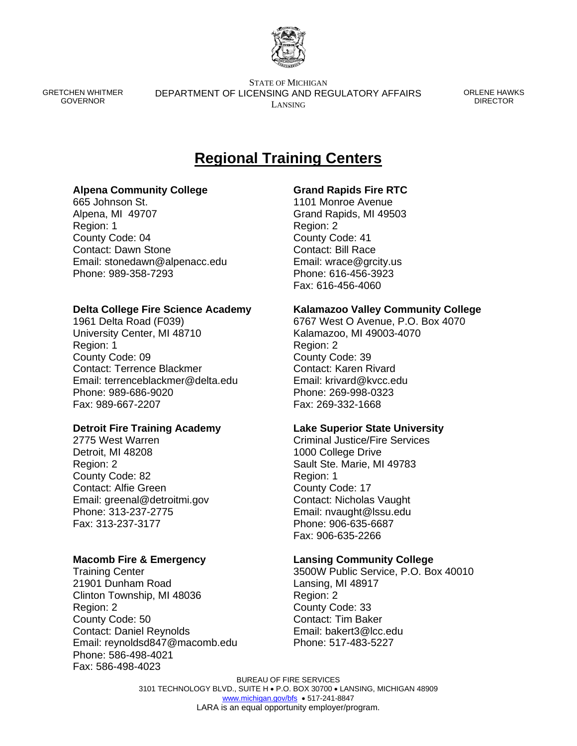

GRETCHEN WHITMER GOVERNOR

STATE OF MICHIGAN DEPARTMENT OF LICENSING AND REGULATORY AFFAIRS LANSING

ORLENE HAWKS **DIRECTOR** 

# **Regional Training Centers**

# **Alpena Community College**

665 Johnson St. Alpena, MI 49707 Region: 1 County Code: 04 Contact: Dawn Stone Email: stonedawn@alpenacc.edu Phone: 989-358-7293

# **Delta College Fire Science Academy**

1961 Delta Road (F039) University Center, MI 48710 Region: 1 County Code: 09 Contact: Terrence Blackmer Email: terrenceblackmer@delta.edu Phone: 989-686-9020 Fax: 989-667-2207

#### **Detroit Fire Training Academy**

2775 West Warren Detroit, MI 48208 Region: 2 County Code: 82 Contact: Alfie Green Email: greenal@detroitmi.gov Phone: 313-237-2775 Fax: 313-237-3177

#### **Macomb Fire & Emergency**

Training Center 21901 Dunham Road Clinton Township, MI 48036 Region: 2 County Code: 50 Contact: Daniel Reynolds Email: reynoldsd847@macomb.edu Phone: 586-498-4021 Fax: 586-498-4023

# **Grand Rapids Fire RTC**

1101 Monroe Avenue Grand Rapids, MI 49503 Region: 2 County Code: 41 Contact: Bill Race Email: wrace@grcity.us Phone: 616-456-3923 Fax: 616-456-4060

# **Kalamazoo Valley Community College**

6767 West O Avenue, P.O. Box 4070 Kalamazoo, MI 49003-4070 Region: 2 County Code: 39 Contact: Karen Rivard Email: krivard@kvcc.edu Phone: 269-998-0323 Fax: 269-332-1668

#### **Lake Superior State University**

Criminal Justice/Fire Services 1000 College Drive Sault Ste. Marie, MI 49783 Region: 1 County Code: 17 Contact: Nicholas Vaught Email: nvaught@lssu.edu Phone: 906-635-6687 Fax: 906-635-2266

# **Lansing Community College**

3500W Public Service, P.O. Box 40010 Lansing, MI 48917 Region: 2 County Code: 33 Contact: Tim Baker Email: bakert3@lcc.edu Phone: 517-483-5227

BUREAU OF FIRE SERVICES 3101 TECHNOLOGY BLVD., SUITE H • P.O. BOX 30700 • LANSING, MICHIGAN 48909 [www.michigan.gov/bfs](http://www.michigan.gov/bfs) • 517-241-8847 LARA is an equal opportunity employer/program.